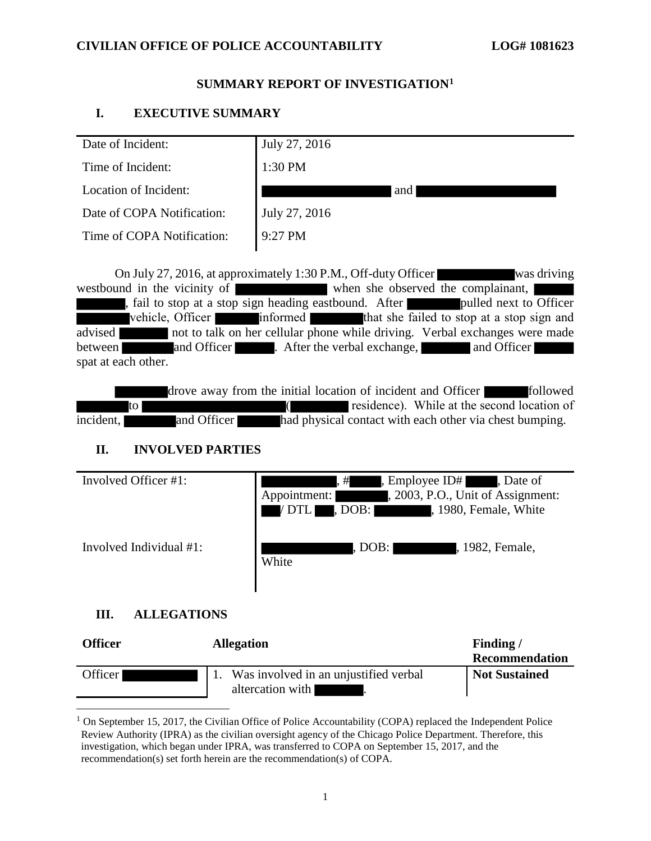## **SUMMARY REPORT OF INVESTIGATION<sup>1</sup>**

# **I. EXECUTIVE SUMMARY**

| Date of Incident:          | July 27, 2016 |
|----------------------------|---------------|
| Time of Incident:          | 1:30 PM       |
| Location of Incident:      | and           |
| Date of COPA Notification: | July 27, 2016 |
| Time of COPA Notification: | $9:27$ PM     |
|                            |               |

On July 27, 2016, at approximately 1:30 P.M., Off-duty Officer was driving westbound in the vicinity of when she observed the complainant, , fail to stop at a stop sign heading eastbound. After **pulled next to Officer** vehicle, Officer informed that she failed to stop at a stop sign and advised not to talk on her cellular phone while driving. Verbal exchanges were made between and Officer . After the verbal exchange, and Officer spat at each other.

drove away from the initial location of incident and Officer followed to ( residence). While at the second location of incident, and Officer had physical contact with each other via chest bumping.

# **II. INVOLVED PARTIES**

| Involved Officer #1:    | , Employee ID#<br>Date of<br>,#<br>, 2003, P.O., Unit of Assignment:<br>Appointment:<br>$\textsf{. DOB:}$<br>, 1980, Female, White<br><b>DTL</b> |
|-------------------------|--------------------------------------------------------------------------------------------------------------------------------------------------|
| Involved Individual #1: | . DOB:  <br>, 1982, Female,<br>White                                                                                                             |

# **III. ALLEGATIONS**

 $\overline{\phantom{a}}$ 

| Officer   | <b>Allegation</b>                                         | Finding/<br>Recommendation |  |
|-----------|-----------------------------------------------------------|----------------------------|--|
| Officer I | Was involved in an unjustified verbal<br>altercation with | <b>Not Sustained</b>       |  |

<sup>&</sup>lt;sup>1</sup> On September 15, 2017, the Civilian Office of Police Accountability (COPA) replaced the Independent Police Review Authority (IPRA) as the civilian oversight agency of the Chicago Police Department. Therefore, this investigation, which began under IPRA, was transferred to COPA on September 15, 2017, and the recommendation(s) set forth herein are the recommendation(s) of COPA.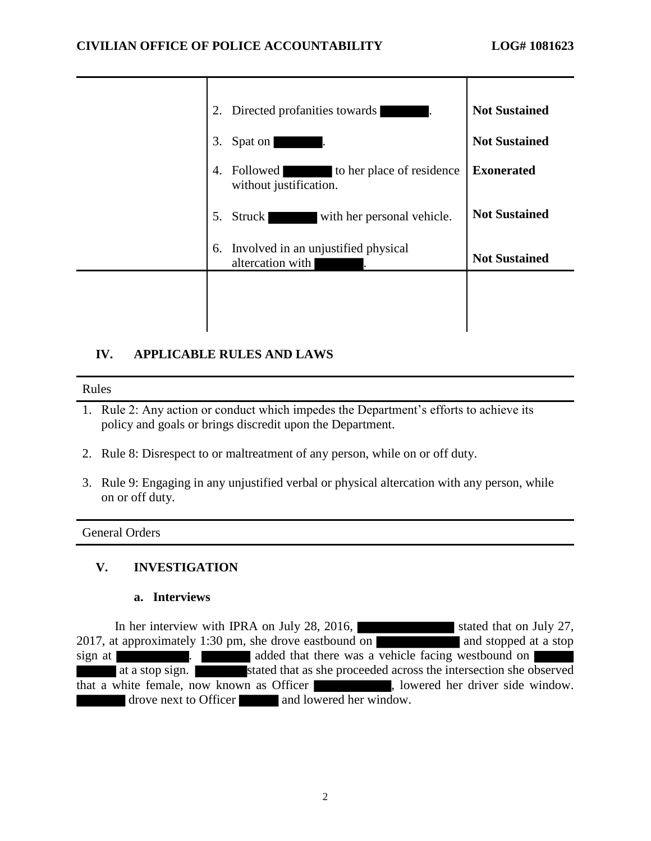| Directed profanities towards<br>2.                                    | <b>Not Sustained</b> |
|-----------------------------------------------------------------------|----------------------|
| 3.<br>Spat on                                                         | <b>Not Sustained</b> |
| Followed<br>to her place of residence<br>4.<br>without justification. | <b>Exonerated</b>    |
| with her personal vehicle.<br>5.<br><b>Struck</b>                     | <b>Not Sustained</b> |
| Involved in an unjustified physical<br>6.<br>altercation with         | <b>Not Sustained</b> |
|                                                                       |                      |
|                                                                       |                      |

# **IV. APPLICABLE RULES AND LAWS**

#### Rules

- 1. Rule 2: Any action or conduct which impedes the Department's efforts to achieve its policy and goals or brings discredit upon the Department.
- 2. Rule 8: Disrespect to or maltreatment of any person, while on or off duty.
- 3. Rule 9: Engaging in any unjustified verbal or physical altercation with any person, while on or off duty.

#### General Orders

# **V. INVESTIGATION**

#### **a. Interviews**

In her interview with IPRA on July 28, 2016, stated that on July 27, 2017, at approximately 1:30 pm, she drove eastbound on and stopped at a stop sign at **a added** that there was a vehicle facing westbound on at a stop sign. stated that as she proceeded across the intersection she observed that a white female, now known as Officer , lowered her driver side window. drove next to Officer and lowered her window.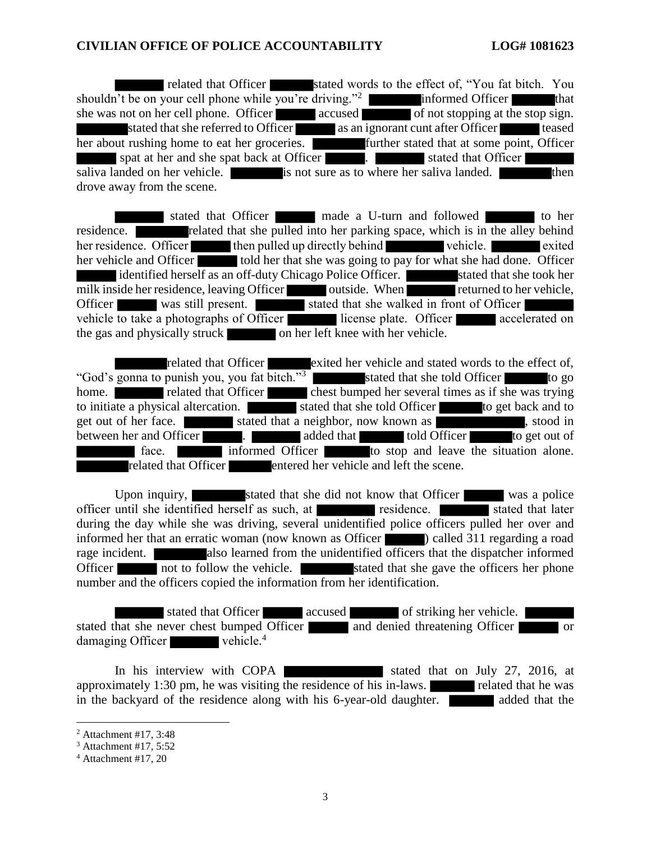related that Officer stated words to the effect of, "You fat bitch. You shouldn't be on your cell phone while you're driving."<sup>2</sup> informed Officer that she was not on her cell phone. Officer accused of not stopping at the stop sign. stated that she referred to Officer as an ignorant cunt after Officer teased her about rushing home to eat her groceries. Further stated that at some point, Officer spat at her and she spat back at Officer . Stated that Officer saliva landed on her vehicle. is not sure as to where her saliva landed. **in the sali**then drove away from the scene.

stated that Officer made a U-turn and followed to her residence. **related that she pulled into her parking space**, which is in the alley behind her residence. Officer then pulled up directly behind vehicle. her vehicle and Officer told her that she was going to pay for what she had done. Officer identified herself as an off-duty Chicago Police Officer. stated that she took her milk inside her residence, leaving Officer outside. When returned to her vehicle, Officer was still present. stated that she walked in front of Officer vehicle to take a photographs of Officer license plate. Officer accelerated on the gas and physically struck on her left knee with her vehicle.

related that Officer exited her vehicle and stated words to the effect of, "God's gonna to punish you, you fat bitch."<sup>3</sup> stated that she told Officer to go home.  $\blacksquare$  related that Officer chest bumped her several times as if she was trying to initiate a physical altercation. stated that she told Officer to get back and to get out of her face. Stated that a neighbor, now known as stated in , stood in between her and Officer **.** added that told Officer to get out of **face.** Informed Officer **the situation alone.** related that Officer entered her vehicle and left the scene.

Upon inquiry, stated that she did not know that Officer was a police until she identified herself as such, at stated that later officer until she identified herself as such, at  $\blacksquare$  residence.  $\blacksquare$ during the day while she was driving, several unidentified police officers pulled her over and informed her that an erratic woman (now known as Officer ) called 311 regarding a road rage incident. also learned from the unidentified officers that the dispatcher informed Officer not to follow the vehicle. Stated that she gave the officers her phone number and the officers copied the information from her identification.

stated that Officer accused of striking her vehicle. stated that she never chest bumped Officer and denied threatening Officer or damaging Officer vehicle.<sup>4</sup>

In his interview with COPA stated that on July 27, 2016, at approximately 1:30 pm, he was visiting the residence of his in-laws.  $\blacksquare$  related that he was in the backyard of the residence along with his 6-year-old daughter. **At added** that the

 $\overline{\phantom{a}}$ 

<sup>2</sup> Attachment #17, 3:48

<sup>3</sup> Attachment #17, 5:52

 $4$  Attachment #17, 20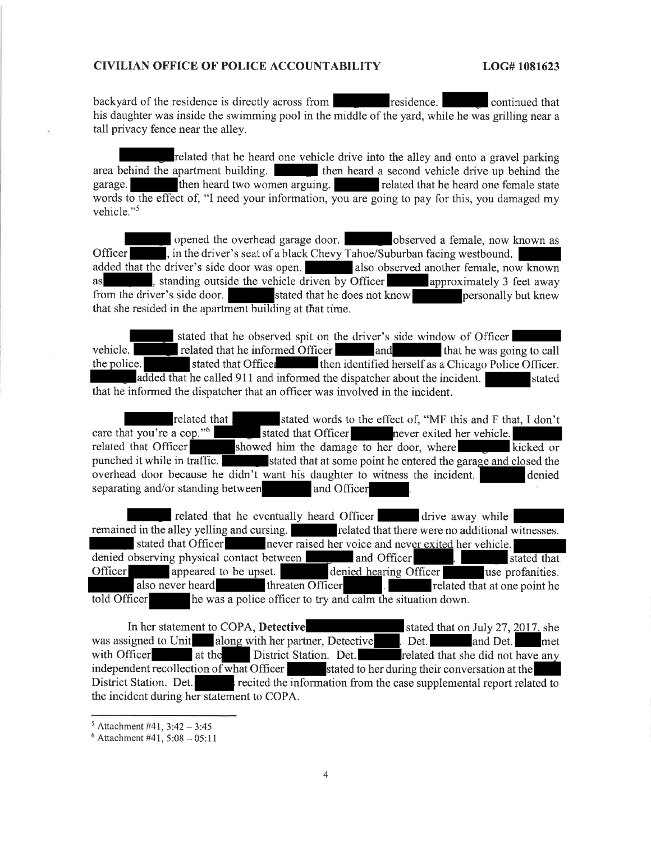backyard of the residence is directly across from residence. continued that his daughter was inside the swimming pool in the middle of the yard, while he was grilling near a tall privacy fence near the alley.

related that he heard one vehicle drive into the alley and onto a gravel parking area behind the apartment building. In the heard a second vehicle drive up behind the then heard two women arguing. related that he heard one female state garage. words to the effect of, "I need your information, you are going to pay for this, you damaged my vehicle."<sup>5</sup>

opened the overhead garage door. observed a female, now known as , in the driver's seat of a black Chevy Tahoe/Suburban facing westbound. Officer added that the driver's side door was open. also observed another female, now known standing outside the vehicle driven by Officer as approximately 3 feet away from the driver's side door. stated that he does not know personally but knew that she resided in the apartment building at that time.

stated that he observed spit on the driver's side window of Officer vehicle. related that he informed Officer and that he was going to call stated that Officer then identified herself as a Chicago Police Officer. the police. added that he called 911 and informed the dispatcher about the incident. stated that he informed the dispatcher that an officer was involved in the incident.

related that . stated words to the effect of, "MF this and F that, I don't care that you're a cop."<sup>6</sup> stated that Officer never exited her vehicle. related that Officer showed him the damage to her door, where kicked or punched it while in traffic. stated that at some point he entered the garage and closed the overhead door because he didn't want his daughter to witness the incident. denied separating and/or standing between and Officer

related that he eventually heard Officer drive away while remained in the alley yelling and cursing. related that there were no additional witnesses. stated that Officer never raised her voice and never exited her vehicle. denied observing physical contact between and Officer stated that denied hearing Officer appeared to be upset. use profanities. Officer also never heard threaten Officer  $\overline{a}$ related that at one point he he was a police officer to try and calm the situation down. told Officer

In her statement to COPA, Detective stated that on July 27, 2017, she was assigned to Unit along with her partner, Detective . Det. and Det. met District Station. Det. with Officer at the related that she did not have any independent recollection of what Officer is stated to her during their conversation at the District Station. Det. recited the information from the case supplemental report related to the incident during her statement to COPA.

 $5$  Attachment #41, 3:42 - 3:45

 $6$  Attachment #41, 5:08 - 05:11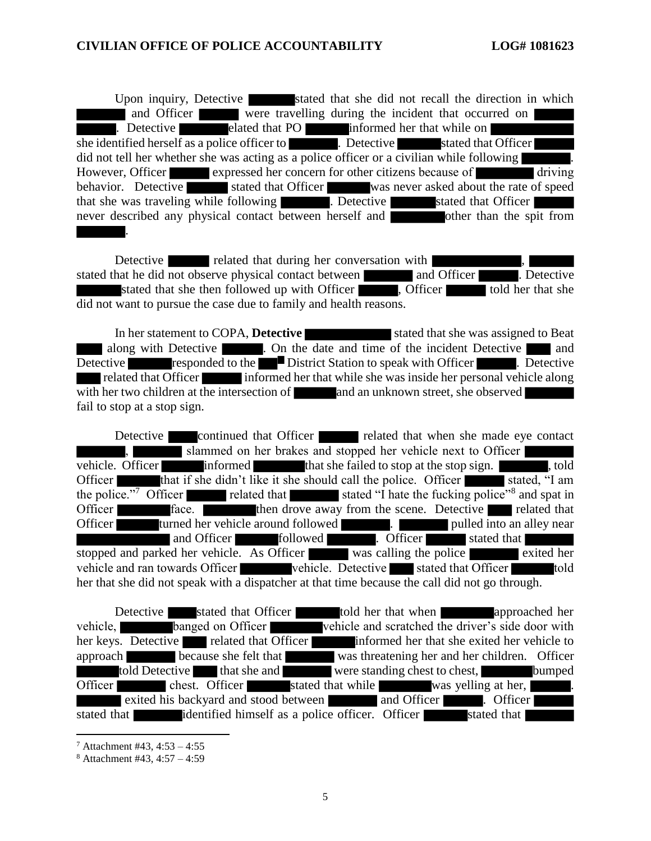Upon inquiry, Detective stated that she did not recall the direction in which and Officer were travelling during the incident that occurred on . Detective elated that PO informed her that while on she identified herself as a police officer to **the contract of the stated that Officer** stated that Officer did not tell her whether she was acting as a police officer or a civilian while following However, Officer expressed her concern for other citizens because of driving behavior. Detective stated that Officer was never asked about the rate of speed that she was traveling while following **the contract of the stated that Officer** never described any physical contact between herself and other than the spit from .

Detective related that during her conversation with  $\blacksquare$ , stated that he did not observe physical contact between and Officer **and Officer** . Detective stated that she then followed up with Officer , Officer told her that she did not want to pursue the case due to family and health reasons.

In her statement to COPA, **Detective stated that she was assigned to Beat** along with Detective **.** On the date and time of the incident Detective and Detective responded to the District Station to speak with Officer . Detective related that Officer informed her that while she was inside her personal vehicle along with her two children at the intersection of  $\blacksquare$  and an unknown street, she observed fail to stop at a stop sign.

Detective continued that Officer related that when she made eye contact slammed on her brakes and stopped her vehicle next to Officer vehicle. Officer informed that she failed to stop at the stop sign. Officer that if she didn't like it she should call the police. Officer stated, "I am the police."<sup>7</sup> Officer related that stated "I hate the fucking police"<sup>8</sup> and spat in Officer **face. face. then drove away from the scene.** Detective related that Officer turned her vehicle around followed . Pulled into an alley near and Officer **followed** . Officer stated that stopped and parked her vehicle. As Officer was calling the police exited her vehicle and ran towards Officer vehicle. Detective stated that Officer told her that she did not speak with a dispatcher at that time because the call did not go through.

Detective stated that Officer told her that when approached her vehicle, banged on Officer vehicle and scratched the driver's side door with her keys. Detective related that Officer informed her that she exited her vehicle to approach because she felt that was threatening her and her children. Officer told Detective that she and were standing chest to chest, bumped Officer chest. Officer stated that while was yelling at her, exited his backyard and stood between and Officer **and Officer** . Officer stated that identified himself as a police officer. Officer stated that

 $\overline{a}$ 

 $7$  Attachment #43, 4:53 – 4:55

<sup>8</sup> Attachment #43, 4:57 – 4:59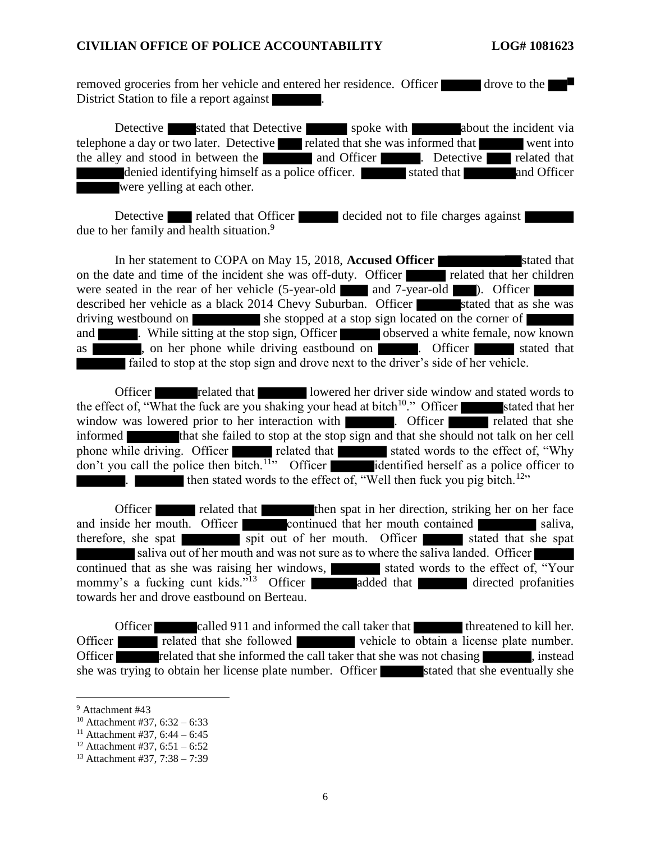removed groceries from her vehicle and entered her residence. Officer drove to the District Station to file a report against

Detective stated that Detective spoke with about the incident via telephone a day or two later. Detective related that she was informed that went into the alley and stood in between the and Officer **and Officer** . Detective related that denied identifying himself as a police officer. stated that and Officer were yelling at each other.

Detective related that Officer decided not to file charges against due to her family and health situation.<sup>9</sup>

In her statement to COPA on May 15, 2018, **Accused Officer** stated that on the date and time of the incident she was off-duty. Officer related that her children were seated in the rear of her vehicle (5-year-old and 7-year-old ). Officer described her vehicle as a black 2014 Chevy Suburban. Officer stated that as she was driving westbound on she stopped at a stop sign located on the corner of and . While sitting at the stop sign, Officer observed a white female, now known as  $\blacksquare$ , on her phone while driving eastbound on  $\blacksquare$ . Officer stated that failed to stop at the stop sign and drove next to the driver's side of her vehicle.

Officer related that lowered her driver side window and stated words to the effect of, "What the fuck are you shaking your head at bitch<sup>10</sup>." Officer stated that her window was lowered prior to her interaction with . Officer related that she informed that she failed to stop at the stop sign and that she should not talk on her cell phone while driving. Officer related that stated words to the effect of, "Why" don't you call the police then bitch.<sup>11</sup>" Officer identified herself as a police officer to then stated words to the effect of, "Well then fuck you pig bitch.<sup>12</sup>"

Officer related that then spat in her direction, striking her on her face and inside her mouth. Officer continued that her mouth contained saliva, therefore, she spat spit out of her mouth. Officer stated that she spat saliva out of her mouth and was not sure as to where the saliva landed. Officer continued that as she was raising her windows, stated words to the effect of, "Your mommy's a fucking cunt kids."<sup>13</sup> Officer added that directed profanities towards her and drove eastbound on Berteau.

Officer called 911 and informed the call taker that threatened to kill her. Officer related that she followed vehicle to obtain a license plate number. Officer **related that she informed the call taker that she was not chasing** , instead she was trying to obtain her license plate number. Officer stated that she eventually she

l

<sup>9</sup> Attachment #43

<sup>&</sup>lt;sup>10</sup> Attachment #37,  $6:32 - 6:33$ 

<sup>&</sup>lt;sup>11</sup> Attachment #37, 6:44 – 6:45

<sup>&</sup>lt;sup>12</sup> Attachment #37, 6:51 – 6:52

<sup>13</sup> Attachment #37, 7:38 – 7:39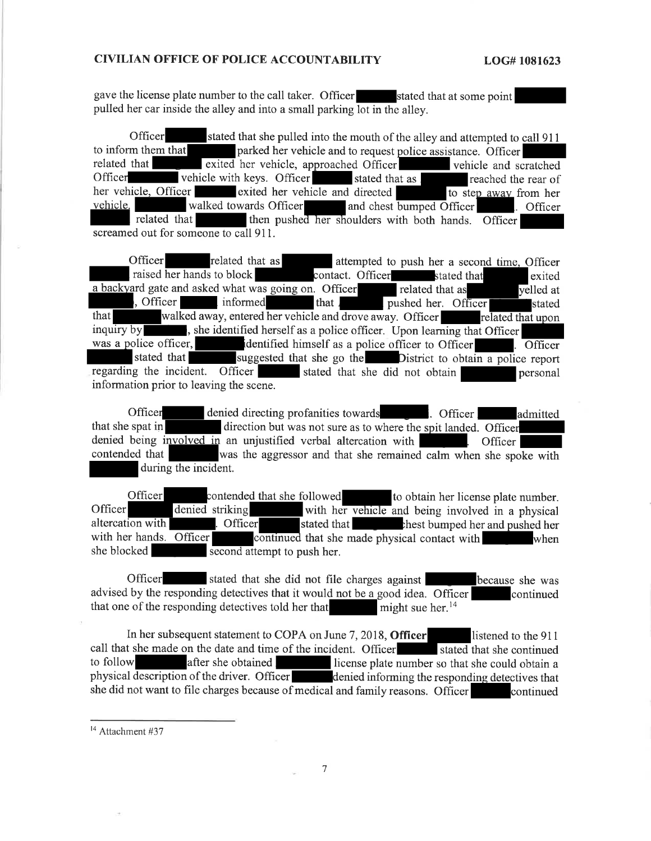gave the license plate number to the call taker. Officer stated that at some point pulled her car inside the alley and into a small parking lot in the alley.

Officer stated that she pulled into the mouth of the alley and attempted to call 911 parked her vehicle and to request police assistance. Officer to inform them that related that exited her vehicle, approached Officer vehicle and scratched vehicle with keys. Officer Officer stated that as reached the rear of her vehicle, Officer exited her vehicle and directed to step away from her vehicle. walked towards Officer and chest bumped Officer Officer related that then pushed her shoulders with both hands. Officer screamed out for someone to call 911.

Officer related that as attempted to push her a second time, Officer raised her hands to block contact. Officer stated that exited a backyard gate and asked what was going on. Officer related that as velled at , Officer informed that J pushed her. Officer stated that walked away, entered her vehicle and drove away. Officer related that upon , she identified herself as a police officer. Upon learning that Officer inquiry by was a police officer. identified himself as a police officer to Officer . Officer stated that suggested that she go the District to obtain a police report regarding the incident. Officer stated that she did not obtain personal information prior to leaving the scene.

Officer denied directing profanities towards . Officer admitted direction but was not sure as to where the spit landed. Officer that she spat in denied being involved in an unjustified verbal altercation with Officer | contended that was the aggressor and that she remained calm when she spoke with during the incident.

Officer contended that she followed to obtain her license plate number. Officer denied striking with her vehicle and being involved in a physical altercation with . Officer stated that **the cheese** chest bumped her and pushed her with her hands. Officer continued that she made physical contact with when she blocked second attempt to push her.

Officer stated that she did not file charges against because she was advised by the responding detectives that it would not be a good idea. Officer continued that one of the responding detectives told her that might sue her. $14$ 

In her subsequent statement to COPA on June 7, 2018, Officer listened to the 911 call that she made on the date and time of the incident. Officer stated that she continued to follow after she obtained license plate number so that she could obtain a physical description of the driver. Officer denied informing the responding detectives that she did not want to file charges because of medical and family reasons. Officer continued

<sup>&</sup>lt;sup>14</sup> Attachment #37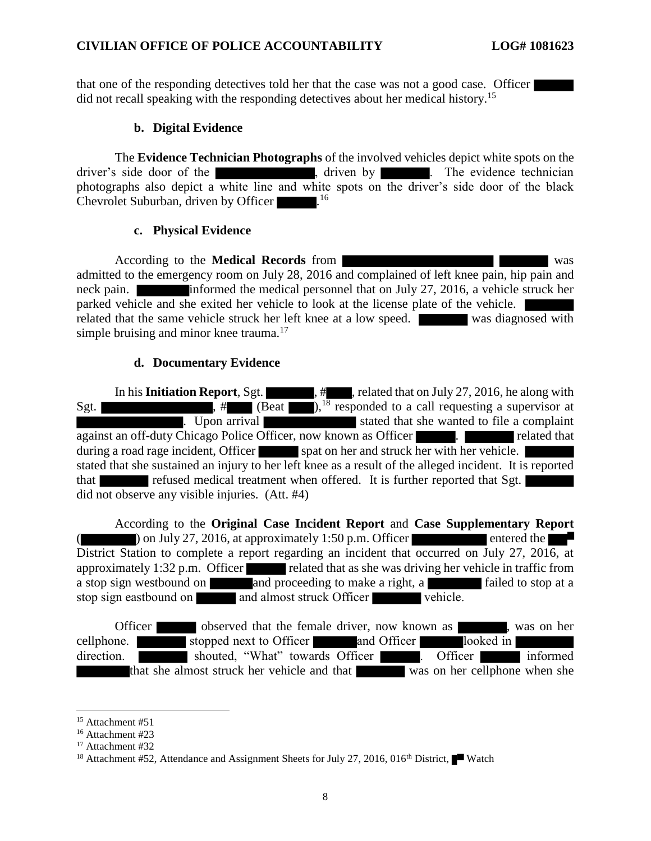that one of the responding detectives told her that the case was not a good case. Officer did not recall speaking with the responding detectives about her medical history.<sup>15</sup>

#### **b. Digital Evidence**

The **Evidence Technician Photographs** of the involved vehicles depict white spots on the driver's side door of the , driven by . The evidence technician photographs also depict a white line and white spots on the driver's side door of the black Chevrolet Suburban, driven by Officer .<sup>16</sup>

#### **c. Physical Evidence**

According to the **Medical Records** from was admitted to the emergency room on July 28, 2016 and complained of left knee pain, hip pain and neck pain. **informed the medical personnel that on July 27, 2016, a vehicle struck her** parked vehicle and she exited her vehicle to look at the license plate of the vehicle. related that the same vehicle struck her left knee at a low speed. Was diagnosed with simple bruising and minor knee trauma.<sup>17</sup>

### **d. Documentary Evidence**

In his **Initiation Report**, Sgt.  $\qquad$ , #, related that on July 27, 2016, he along with Sgt.  $\begin{pmatrix} 1 & 1 & 1 \\ 1 & 1 & 1 \end{pmatrix}$ ,  $\begin{pmatrix} 1 & 1 \\ 1 & 1 \end{pmatrix}$ ,  $\begin{pmatrix} 1 & 1 \\ 1 & 1 \end{pmatrix}$ ,  $\begin{pmatrix} 1 & 1 \\ 1 & 1 \end{pmatrix}$ ,  $\begin{pmatrix} 1 & 1 \\ 1 & 1 \end{pmatrix}$ ,  $\begin{pmatrix} 1 & 1 \\ 1 & 1 \end{pmatrix}$ ,  $\begin{pmatrix} 1 & 1 \\ 1 & 1 \end{pmatrix}$ ,  $\begin{pmatrix} 1 & 1 \\ 1 & 1 \end{$ . Upon arrival against an off-duty Chicago Police Officer, now known as Officer . The related that during a road rage incident, Officer spat on her and struck her with her vehicle. stated that she sustained an injury to her left knee as a result of the alleged incident. It is reported that refused medical treatment when offered. It is further reported that Sgt. did not observe any visible injuries. (Att. #4)

According to the **Original Case Incident Report** and **Case Supplementary Report** on July 27, 2016, at approximately 1:50 p.m. Officer entered the entered the District Station to complete a report regarding an incident that occurred on July 27, 2016, at approximately 1:32 p.m. Officer related that as she was driving her vehicle in traffic from a stop sign westbound on and proceeding to make a right, a failed to stop at a stop sign eastbound on and almost struck Officer vehicle.

Officer observed that the female driver, now known as , was on her cellphone. Stopped next to Officer and Officer looked in direction. Shouted, "What" towards Officer . Officer informed that she almost struck her vehicle and that was on her cellphone when she

 $\overline{a}$ <sup>15</sup> Attachment #51

<sup>16</sup> Attachment #23

<sup>&</sup>lt;sup>17</sup> Attachment #32

<sup>&</sup>lt;sup>18</sup> Attachment #52, Attendance and Assignment Sheets for July 27, 2016, 016<sup>th</sup> District, Watch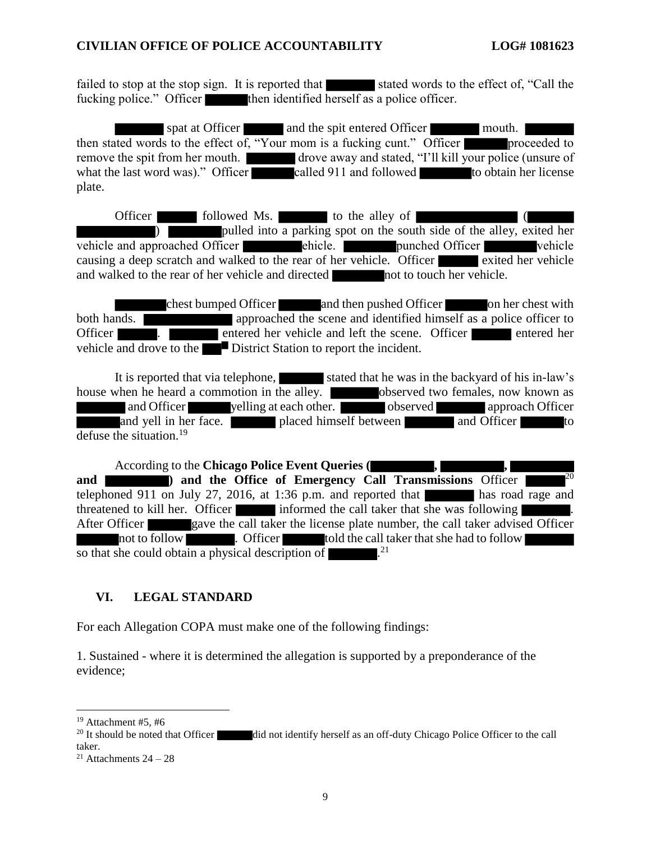failed to stop at the stop sign. It is reported that stated words to the effect of, "Call the fucking police." Officer then identified herself as a police officer.

spat at Officer and the spit entered Officer mouth. then stated words to the effect of, "Your mom is a fucking cunt." Officer proceeded to remove the spit from her mouth. drove away and stated, "I'll kill your police (unsure of what the last word was)." Officer called 911 and followed to obtain her license plate.

Officer followed Ms. to the alley of ( ) pulled into a parking spot on the south side of the alley, exited her proached Officer vehicle and approached Officer ehicle. The punched Officer vehicle causing a deep scratch and walked to the rear of her vehicle. Officer exited her vehicle and walked to the rear of her vehicle and directed not to touch her vehicle.

chest bumped Officer and then pushed Officer on her chest with both hands. Officer **. Entertainment is a contract that the scene.** Officer **entered her entered her** vehicle and drove to the District Station to report the incident.

It is reported that via telephone, stated that he was in the backyard of his in-law's house when he heard a commotion in the alley. **Observed two females**, now known as and Officer yelling at each other. observed approach Officer and yell in her face. placed himself between and Officer to defuse the situation.<sup>19</sup>

According to the **Chicago Police Event Queries** ( and **and 1 and the Office of Emergency Call Transmissions** Officer  $2^{0}$ telephoned 911 on July 27, 2016, at 1:36 p.m. and reported that has road rage and threatened to kill her. Officer informed the call taker that she was following After Officer gave the call taker the license plate number, the call taker advised Officer not to follow **the contract of the call taker** that she had to follow so that she could obtain a physical description of  $\sim$  .<sup>21</sup>

#### **VI. LEGAL STANDARD**

For each Allegation COPA must make one of the following findings:

1. Sustained - where it is determined the allegation is supported by a preponderance of the evidence;

 $\overline{a}$ 

 $19$  Attachment #5, #6

<sup>&</sup>lt;sup>20</sup> It should be noted that Officer did not identify herself as an off-duty Chicago Police Officer to the call taker.

<sup>&</sup>lt;sup>21</sup> Attachments  $24 - 28$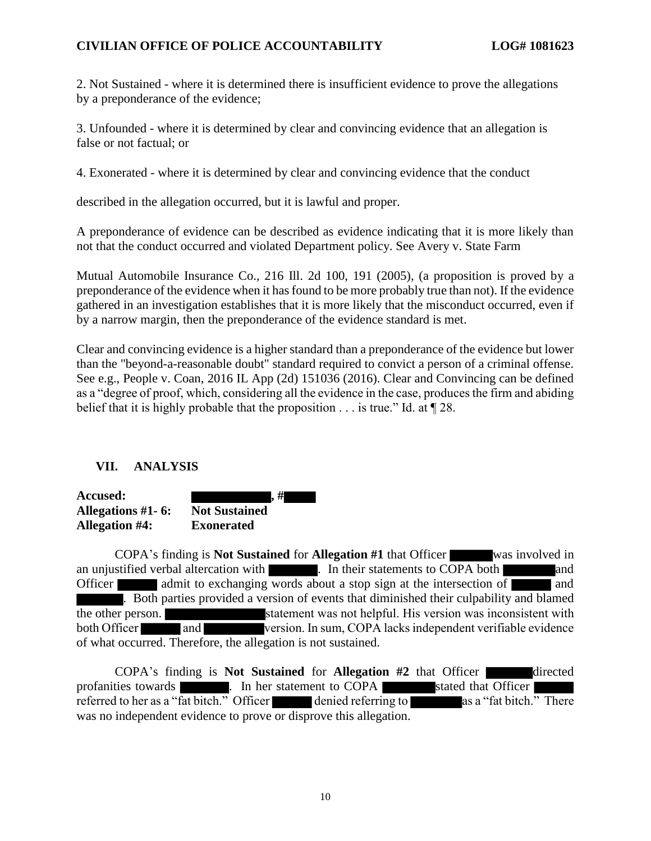2. Not Sustained - where it is determined there is insufficient evidence to prove the allegations by a preponderance of the evidence;

3. Unfounded - where it is determined by clear and convincing evidence that an allegation is false or not factual; or

4. Exonerated - where it is determined by clear and convincing evidence that the conduct

described in the allegation occurred, but it is lawful and proper.

A preponderance of evidence can be described as evidence indicating that it is more likely than not that the conduct occurred and violated Department policy. See Avery v. State Farm

Mutual Automobile Insurance Co., 216 Ill. 2d 100, 191 (2005), (a proposition is proved by a preponderance of the evidence when it has found to be more probably true than not). If the evidence gathered in an investigation establishes that it is more likely that the misconduct occurred, even if by a narrow margin, then the preponderance of the evidence standard is met.

Clear and convincing evidence is a higher standard than a preponderance of the evidence but lower than the "beyond-a-reasonable doubt" standard required to convict a person of a criminal offense. See e.g., People v. Coan, 2016 IL App (2d) 151036 (2016). Clear and Convincing can be defined as a "degree of proof, which, considering all the evidence in the case, produces the firm and abiding belief that it is highly probable that the proposition  $\dots$  is true." Id. at  $\P$  28.

# **VII. ANALYSIS**

| <b>Accused:</b>       | . #                  |
|-----------------------|----------------------|
| Allegations #1 - 6:   | <b>Not Sustained</b> |
| <b>Allegation #4:</b> | <b>Exonerated</b>    |

COPA's finding is **Not Sustained** for **Allegation #1** that Officer was involved in an unjustified verbal altercation with **and** . In their statements to COPA both and Officer admit to exchanging words about a stop sign at the intersection of and . Both parties provided a version of events that diminished their culpability and blamed the other person. statement was not helpful. His version was inconsistent with both Officer and version. In sum, COPA lacks independent verifiable evidence of what occurred. Therefore, the allegation is not sustained.

COPA's finding is **Not Sustained** for **Allegation** #2 that Officer directed profanities towards **and the statement to COPA** stated that Officer referred to her as a "fat bitch." Officer denied referring to as a "fat bitch." There was no independent evidence to prove or disprove this allegation.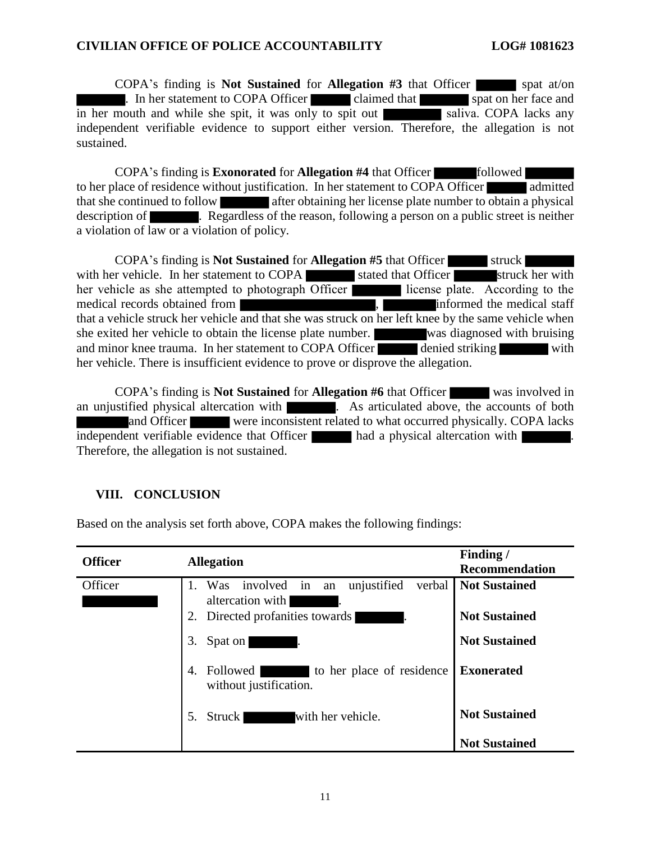COPA's finding is **Not Sustained** for **Allegation #3** that Officer spat at/on . In her statement to COPA Officer claimed that spat on her face and in her mouth and while she spit, it was only to spit out saliva. COPA lacks any independent verifiable evidence to support either version. Therefore, the allegation is not sustained.

COPA's finding is **Exonorated** for **Allegation #4** that Officer followed to her place of residence without justification. In her statement to COPA Officer admitted that she continued to follow after obtaining her license plate number to obtain a physical description of **. Regardless of the reason**, following a person on a public street is neither a violation of law or a violation of policy.

**COPA's finding is Not Sustained for Allegation #5** that Officer struck with her vehicle. In her statement to COPA stated that Officer struck her with her vehicle as she attempted to photograph Officer license plate. According to the medical records obtained from  $\blacksquare$ , informed the medical staff that a vehicle struck her vehicle and that she was struck on her left knee by the same vehicle when she exited her vehicle to obtain the license plate number. was diagnosed with bruising and minor knee trauma. In her statement to COPA Officer denied striking with her vehicle. There is insufficient evidence to prove or disprove the allegation.

COPA's finding is **Not Sustained** for **Allegation #6** that Officer was involved in an unjustified physical altercation with **As articulated above, the accounts of both** and Officer were inconsistent related to what occurred physically. COPA lacks independent verifiable evidence that Officer had a physical altercation with . Therefore, the allegation is not sustained.

# **VIII. CONCLUSION**

Based on the analysis set forth above, COPA makes the following findings:

| <b>Officer</b> | <b>Allegation</b>                                                        | Finding /<br><b>Recommendation</b> |
|----------------|--------------------------------------------------------------------------|------------------------------------|
| Officer        | involved in<br>unjustified<br>1. Was<br>verbal<br>an<br>altercation with | <b>Not Sustained</b>               |
|                | Directed profanities towards<br>2.                                       | <b>Not Sustained</b>               |
|                | 3.<br>Spat on                                                            | <b>Not Sustained</b>               |
|                | 4.<br>to her place of residence<br>Followed<br>without justification.    | <b>Exonerated</b>                  |
|                | with her vehicle.<br>Struck<br>.5.                                       | <b>Not Sustained</b>               |
|                |                                                                          | <b>Not Sustained</b>               |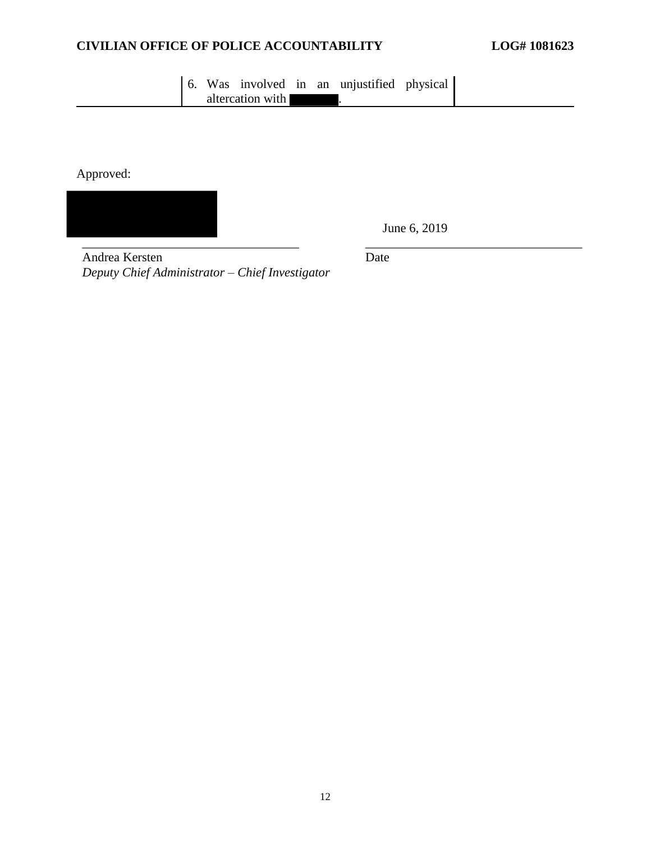| altercation with |  |  |  | 6. Was involved in an unjustified physical |  |
|------------------|--|--|--|--------------------------------------------|--|
|                  |  |  |  |                                            |  |

Approved:

\_\_\_\_\_\_\_\_\_\_\_\_\_\_\_\_\_\_\_\_\_\_\_\_\_\_\_\_\_\_\_\_\_\_ \_\_\_\_\_\_\_\_\_\_\_\_\_\_\_\_\_\_\_\_\_\_\_\_\_\_\_\_\_\_\_\_\_\_

June 6, 2019

Andrea Kersten *Deputy Chief Administrator – Chief Investigator* Date